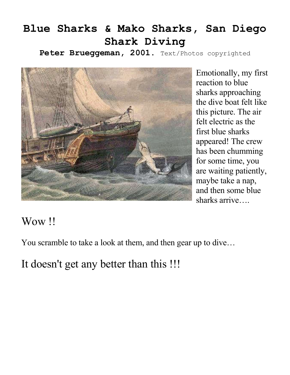## **Blue Sharks & Mako Sharks, San Diego Shark Diving**

Peter Brueggeman, 2001. Text/Photos copyrighted



Emotionally, my first reaction to blue sharks approaching the dive boat felt like this picture. The air felt electric as the first blue sharks appeared! The crew has been chumming for some time, you are waiting patiently, maybe take a nap, and then some blue sharks arrive….

## Wow !!

You scramble to take a look at them, and then gear up to dive…

It doesn't get any better than this !!!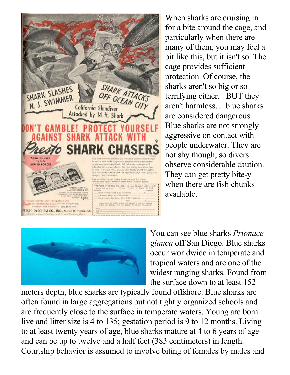

When sharks are cruising in for a bite around the cage, and particularly when there are many of them, you may feel a bit like this, but it isn't so. The cage provides sufficient protection. Of course, the sharks aren't so big or so terrifying either. BUT they aren't harmless… blue sharks are considered dangerous. Blue sharks are not strongly aggressive on contact with people underwater. They are not shy though, so divers observe considerable caution. They can get pretty bite-y when there are fish chunks available.



You can see blue sharks *Prionace glauca* off San Diego. Blue sharks occur worldwide in temperate and tropical waters and are one of the widest ranging sharks. Found from the surface down to at least 152

meters depth, blue sharks are typically found offshore. Blue sharks are often found in large aggregations but not tightly organized schools and are frequently close to the surface in temperate waters. Young are born live and litter size is 4 to 135; gestation period is 9 to 12 months. Living to at least twenty years of age, blue sharks mature at 4 to 6 years of age and can be up to twelve and a half feet (383 centimeters) in length. Courtship behavior is assumed to involve biting of females by males and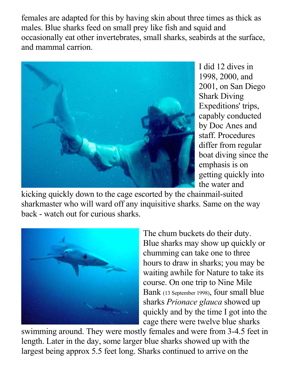females are adapted for this by having skin about three times as thick as males. Blue sharks feed on small prey like fish and squid and occasionally eat other invertebrates, small sharks, seabirds at the surface, and mammal carrion.



I did 12 dives in 1998, 2000, and 2001, on San Diego Shark Diving Expeditions' trips, capably conducted by Doc Anes and staff. Procedures differ from regular boat diving since the emphasis is on getting quickly into the water and

kicking quickly down to the cage escorted by the chainmail-suited sharkmaster who will ward off any inquisitive sharks. Same on the way back - watch out for curious sharks.



The chum buckets do their duty. Blue sharks may show up quickly or chumming can take one to three hours to draw in sharks; you may be waiting awhile for Nature to take its course. On one trip to Nine Mile Bank (13 September 1998), four small blue sharks *Prionace glauca* showed up quickly and by the time I got into the cage there were twelve blue sharks

swimming around. They were mostly females and were from 3-4.5 feet in length. Later in the day, some larger blue sharks showed up with the largest being approx 5.5 feet long. Sharks continued to arrive on the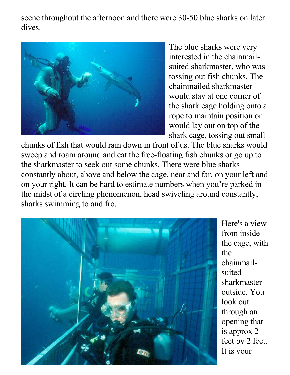scene throughout the afternoon and there were 30-50 blue sharks on later dives.



The blue sharks were very interested in the chainmailsuited sharkmaster, who was tossing out fish chunks. The chainmailed sharkmaster would stay at one corner of the shark cage holding onto a rope to maintain position or would lay out on top of the shark cage, tossing out small

chunks of fish that would rain down in front of us. The blue sharks would sweep and roam around and eat the free-floating fish chunks or go up to the sharkmaster to seek out some chunks. There were blue sharks constantly about, above and below the cage, near and far, on your left and on your right. It can be hard to estimate numbers when you're parked in the midst of a circling phenomenon, head swiveling around constantly, sharks swimming to and fro.



Here's a view from inside the cage, with the chainmailsuited sharkmaster outside. You look out through an opening that is approx 2 feet by 2 feet. It is your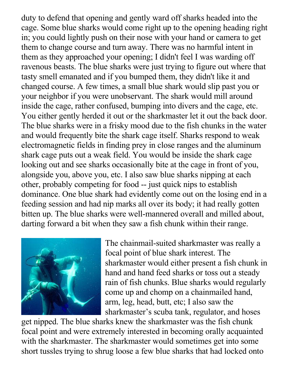duty to defend that opening and gently ward off sharks headed into the cage. Some blue sharks would come right up to the opening heading right in; you could lightly push on their nose with your hand or camera to get them to change course and turn away. There was no harmful intent in them as they approached your opening; I didn't feel I was warding off ravenous beasts. The blue sharks were just trying to figure out where that tasty smell emanated and if you bumped them, they didn't like it and changed course. A few times, a small blue shark would slip past you or your neighbor if you were unobservant. The shark would mill around inside the cage, rather confused, bumping into divers and the cage, etc. You either gently herded it out or the sharkmaster let it out the back door. The blue sharks were in a frisky mood due to the fish chunks in the water and would frequently bite the shark cage itself. Sharks respond to weak electromagnetic fields in finding prey in close ranges and the aluminum shark cage puts out a weak field. You would be inside the shark cage looking out and see sharks occasionally bite at the cage in front of you, alongside you, above you, etc. I also saw blue sharks nipping at each other, probably competing for food -- just quick nips to establish dominance. One blue shark had evidently come out on the losing end in a feeding session and had nip marks all over its body; it had really gotten bitten up. The blue sharks were well-mannered overall and milled about, darting forward a bit when they saw a fish chunk within their range.



The chainmail-suited sharkmaster was really a focal point of blue shark interest. The sharkmaster would either present a fish chunk in hand and hand feed sharks or toss out a steady rain of fish chunks. Blue sharks would regularly come up and chomp on a chainmailed hand, arm, leg, head, butt, etc; I also saw the sharkmaster's scuba tank, regulator, and hoses

get nipped. The blue sharks knew the sharkmaster was the fish chunk focal point and were extremely interested in becoming orally acquainted with the sharkmaster. The sharkmaster would sometimes get into some short tussles trying to shrug loose a few blue sharks that had locked onto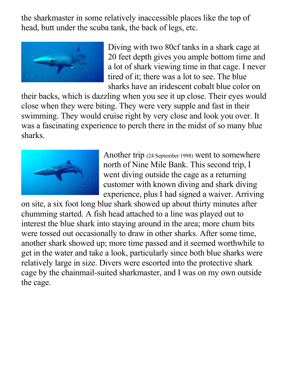the sharkmaster in some relatively inaccessible places like the top of head, butt under the scuba tank, the back of legs, etc.



Diving with two 80cf tanks in a shark cage at 20 feet depth gives you ample bottom time and a lot of shark viewing time in that cage. I never tired of it; there was a lot to see. The blue sharks have an iridescent cobalt blue color on

their backs, which is dazzling when you see it up close. Their eyes would close when they were biting. They were very supple and fast in their swimming. They would cruise right by very close and look you over. It was a fascinating experience to perch there in the midst of so many blue sharks.



Another trip (24 September 1998) went to somewhere north of Nine Mile Bank. This second trip, I went diving outside the cage as a returning customer with known diving and shark diving experience, plus I had signed a waiver. Arriving

on site, a six foot long blue shark showed up about thirty minutes after chumming started. A fish head attached to a line was played out to interest the blue shark into staying around in the area; more chum bits were tossed out occasionally to draw in other sharks. After some time, another shark showed up; more time passed and it seemed worthwhile to get in the water and take a look, particularly since both blue sharks were relatively large in size. Divers were escorted into the protective shark cage by the chainmail-suited sharkmaster, and I was on my own outside the cage.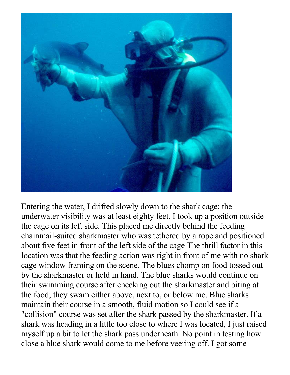

Entering the water, I drifted slowly down to the shark cage; the underwater visibility was at least eighty feet. I took up a position outside the cage on its left side. This placed me directly behind the feeding chainmail-suited sharkmaster who was tethered by a rope and positioned about five feet in front of the left side of the cage The thrill factor in this location was that the feeding action was right in front of me with no shark cage window framing on the scene. The blues chomp on food tossed out by the sharkmaster or held in hand. The blue sharks would continue on their swimming course after checking out the sharkmaster and biting at the food; they swam either above, next to, or below me. Blue sharks maintain their course in a smooth, fluid motion so I could see if a "collision" course was set after the shark passed by the sharkmaster. If a shark was heading in a little too close to where I was located, I just raised myself up a bit to let the shark pass underneath. No point in testing how close a blue shark would come to me before veering off. I got some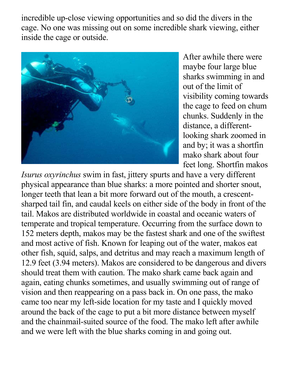incredible up-close viewing opportunities and so did the divers in the cage. No one was missing out on some incredible shark viewing, either inside the cage or outside.



After awhile there were maybe four large blue sharks swimming in and out of the limit of visibility coming towards the cage to feed on chum chunks. Suddenly in the distance, a differentlooking shark zoomed in and by; it was a shortfin mako shark about four feet long. Shortfin makos

*Isurus oxyrinchus* swim in fast, jittery spurts and have a very different physical appearance than blue sharks: a more pointed and shorter snout, longer teeth that lean a bit more forward out of the mouth, a crescentsharped tail fin, and caudal keels on either side of the body in front of the tail. Makos are distributed worldwide in coastal and oceanic waters of temperate and tropical temperature. Occurring from the surface down to 152 meters depth, makos may be the fastest shark and one of the swiftest and most active of fish. Known for leaping out of the water, makos eat other fish, squid, salps, and detritus and may reach a maximum length of 12.9 feet (3.94 meters). Makos are considered to be dangerous and divers should treat them with caution. The mako shark came back again and again, eating chunks sometimes, and usually swimming out of range of vision and then reappearing on a pass back in. On one pass, the mako came too near my left-side location for my taste and I quickly moved around the back of the cage to put a bit more distance between myself and the chainmail-suited source of the food. The mako left after awhile and we were left with the blue sharks coming in and going out.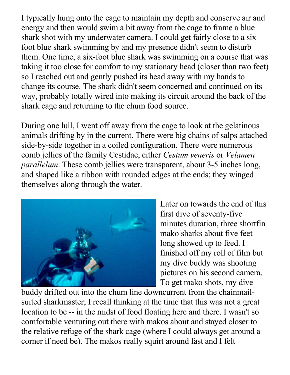I typically hung onto the cage to maintain my depth and conserve air and energy and then would swim a bit away from the cage to frame a blue shark shot with my underwater camera. I could get fairly close to a six foot blue shark swimming by and my presence didn't seem to disturb them. One time, a six-foot blue shark was swimming on a course that was taking it too close for comfort to my stationary head (closer than two feet) so I reached out and gently pushed its head away with my hands to change its course. The shark didn't seem concerned and continued on its way, probably totally wired into making its circuit around the back of the shark cage and returning to the chum food source.

During one lull, I went off away from the cage to look at the gelatinous animals drifting by in the current. There were big chains of salps attached side-by-side together in a coiled configuration. There were numerous comb jellies of the family Cestidae, either *Cestum veneris* or *Velamen parallelum*. These comb jellies were transparent, about 3-5 inches long, and shaped like a ribbon with rounded edges at the ends; they winged themselves along through the water.



Later on towards the end of this first dive of seventy-five minutes duration, three shortfin mako sharks about five feet long showed up to feed. I finished off my roll of film but my dive buddy was shooting pictures on his second camera. To get mako shots, my dive

buddy drifted out into the chum line downcurrent from the chainmailsuited sharkmaster; I recall thinking at the time that this was not a great location to be -- in the midst of food floating here and there. I wasn't so comfortable venturing out there with makos about and stayed closer to the relative refuge of the shark cage (where I could always get around a corner if need be). The makos really squirt around fast and I felt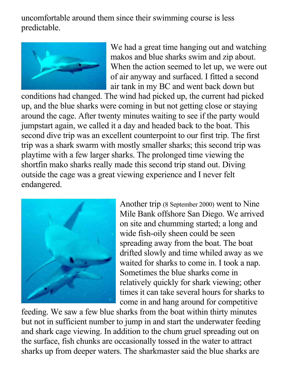uncomfortable around them since their swimming course is less predictable.



We had a great time hanging out and watching makos and blue sharks swim and zip about. When the action seemed to let up, we were out of air anyway and surfaced. I fitted a second air tank in my BC and went back down but

conditions had changed. The wind had picked up, the current had picked up, and the blue sharks were coming in but not getting close or staying around the cage. After twenty minutes waiting to see if the party would jumpstart again, we called it a day and headed back to the boat. This second dive trip was an excellent counterpoint to our first trip. The first trip was a shark swarm with mostly smaller sharks; this second trip was playtime with a few larger sharks. The prolonged time viewing the shortfin mako sharks really made this second trip stand out. Diving outside the cage was a great viewing experience and I never felt endangered.



Another trip (8 September 2000) went to Nine Mile Bank offshore San Diego. We arrived on site and chumming started; a long and wide fish-oily sheen could be seen spreading away from the boat. The boat drifted slowly and time whiled away as we waited for sharks to come in. I took a nap. Sometimes the blue sharks come in relatively quickly for shark viewing; other times it can take several hours for sharks to come in and hang around for competitive

feeding. We saw a few blue sharks from the boat within thirty minutes but not in sufficient number to jump in and start the underwater feeding and shark cage viewing. In addition to the chum gruel spreading out on the surface, fish chunks are occasionally tossed in the water to attract sharks up from deeper waters. The sharkmaster said the blue sharks are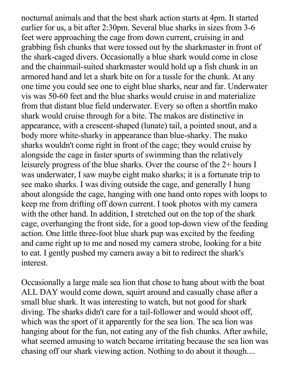nocturnal animals and that the best shark action starts at 4pm. It started earlier for us, a bit after 2:30pm. Several blue sharks in sizes from 3-6 feet were approaching the cage from down current, cruising in and grabbing fish chunks that were tossed out by the sharkmaster in front of the shark-caged divers. Occasionally a blue shark would come in close and the chainmail-suited sharkmaster would hold up a fish chunk in an armored hand and let a shark bite on for a tussle for the chunk. At any one time you could see one to eight blue sharks, near and far. Underwater vis was 50-60 feet and the blue sharks would cruise in and materialize from that distant blue field underwater. Every so often a shortfin mako shark would cruise through for a bite. The makos are distinctive in appearance, with a crescent-shaped (lunate) tail, a pointed snout, and a body more white-sharky in appearance than blue-sharky. The mako sharks wouldn't come right in front of the cage; they would cruise by alongside the cage in faster spurts of swimming than the relatively leisurely progress of the blue sharks. Over the course of the 2+ hours I was underwater, I saw maybe eight mako sharks; it is a fortunate trip to see mako sharks. I was diving outside the cage, and generally I hung about alongside the cage, hanging with one hand onto ropes with loops to keep me from drifting off down current. I took photos with my camera with the other hand. In addition, I stretched out on the top of the shark cage, overhanging the front side, for a good top-down view of the feeding action. One little three-foot blue shark pup was excited by the feeding and came right up to me and nosed my camera strobe, looking for a bite to eat. I gently pushed my camera away a bit to redirect the shark's interest.

Occasionally a large male sea lion that chose to hang about with the boat ALL DAY would come down, squirt around and casually chase after a small blue shark. It was interesting to watch, but not good for shark diving. The sharks didn't care for a tail-follower and would shoot off, which was the sport of it apparently for the sea lion. The sea lion was hanging about for the fun, not eating any of the fish chunks. After awhile, what seemed amusing to watch became irritating because the sea lion was chasing off our shark viewing action. Nothing to do about it though....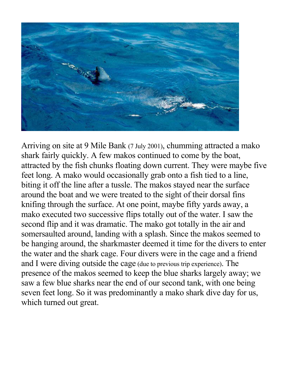

Arriving on site at 9 Mile Bank (7 July 2001), chumming attracted a mako shark fairly quickly. A few makos continued to come by the boat, attracted by the fish chunks floating down current. They were maybe five feet long. A mako would occasionally grab onto a fish tied to a line, biting it off the line after a tussle. The makos stayed near the surface around the boat and we were treated to the sight of their dorsal fins knifing through the surface. At one point, maybe fifty yards away, a mako executed two successive flips totally out of the water. I saw the second flip and it was dramatic. The mako got totally in the air and somersaulted around, landing with a splash. Since the makos seemed to be hanging around, the sharkmaster deemed it time for the divers to enter the water and the shark cage. Four divers were in the cage and a friend and I were diving outside the cage (due to previous trip experience). The presence of the makos seemed to keep the blue sharks largely away; we saw a few blue sharks near the end of our second tank, with one being seven feet long. So it was predominantly a mako shark dive day for us, which turned out great.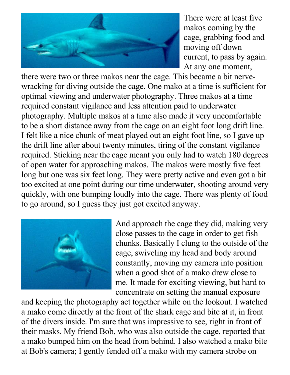

There were at least five makos coming by the cage, grabbing food and moving off down current, to pass by again. At any one moment,

there were two or three makos near the cage. This became a bit nervewracking for diving outside the cage. One mako at a time is sufficient for optimal viewing and underwater photography. Three makos at a time required constant vigilance and less attention paid to underwater photography. Multiple makos at a time also made it very uncomfortable to be a short distance away from the cage on an eight foot long drift line. I felt like a nice chunk of meat played out an eight foot line, so I gave up the drift line after about twenty minutes, tiring of the constant vigilance required. Sticking near the cage meant you only had to watch 180 degrees of open water for approaching makos. The makos were mostly five feet long but one was six feet long. They were pretty active and even got a bit too excited at one point during our time underwater, shooting around very quickly, with one bumping loudly into the cage. There was plenty of food to go around, so I guess they just got excited anyway.



And approach the cage they did, making very close passes to the cage in order to get fish chunks. Basically I clung to the outside of the cage, swiveling my head and body around constantly, moving my camera into position when a good shot of a mako drew close to me. It made for exciting viewing, but hard to concentrate on setting the manual exposure

and keeping the photography act together while on the lookout. I watched a mako come directly at the front of the shark cage and bite at it, in front of the divers inside. I'm sure that was impressive to see, right in front of their masks. My friend Bob, who was also outside the cage, reported that a mako bumped him on the head from behind. I also watched a mako bite at Bob's camera; I gently fended off a mako with my camera strobe on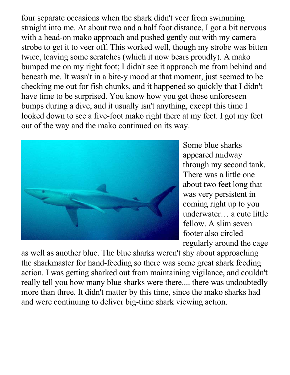four separate occasions when the shark didn't veer from swimming straight into me. At about two and a half foot distance, I got a bit nervous with a head-on mako approach and pushed gently out with my camera strobe to get it to veer off. This worked well, though my strobe was bitten twice, leaving some scratches (which it now bears proudly). A mako bumped me on my right foot; I didn't see it approach me from behind and beneath me. It wasn't in a bite-y mood at that moment, just seemed to be checking me out for fish chunks, and it happened so quickly that I didn't have time to be surprised. You know how you get those unforeseen bumps during a dive, and it usually isn't anything, except this time I looked down to see a five-foot mako right there at my feet. I got my feet out of the way and the mako continued on its way.



Some blue sharks appeared midway through my second tank. There was a little one about two feet long that was very persistent in coming right up to you underwater… a cute little fellow. A slim seven footer also circled regularly around the cage

as well as another blue. The blue sharks weren't shy about approaching the sharkmaster for hand-feeding so there was some great shark feeding action. I was getting sharked out from maintaining vigilance, and couldn't really tell you how many blue sharks were there.... there was undoubtedly more than three. It didn't matter by this time, since the mako sharks had and were continuing to deliver big-time shark viewing action.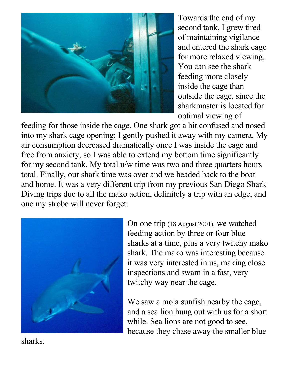![](_page_14_Picture_0.jpeg)

Towards the end of my second tank, I grew tired of maintaining vigilance and entered the shark cage for more relaxed viewing. You can see the shark feeding more closely inside the cage than outside the cage, since the sharkmaster is located for optimal viewing of

feeding for those inside the cage. One shark got a bit confused and nosed into my shark cage opening; I gently pushed it away with my camera. My air consumption decreased dramatically once I was inside the cage and free from anxiety, so I was able to extend my bottom time significantly for my second tank. My total u/w time was two and three quarters hours total. Finally, our shark time was over and we headed back to the boat and home. It was a very different trip from my previous San Diego Shark Diving trips due to all the mako action, definitely a trip with an edge, and one my strobe will never forget.

![](_page_14_Picture_3.jpeg)

On one trip (18 August 2001), we watched feeding action by three or four blue sharks at a time, plus a very twitchy mako shark. The mako was interesting because it was very interested in us, making close inspections and swam in a fast, very twitchy way near the cage.

We saw a mola sunfish nearby the cage, and a sea lion hung out with us for a short while. Sea lions are not good to see, because they chase away the smaller blue

sharks.